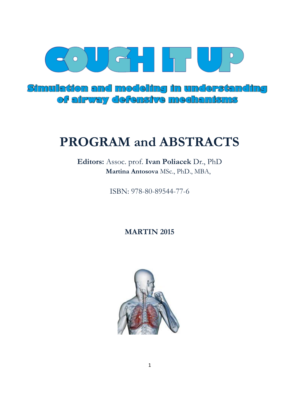

Simulation and modeling in understanding of airway defensive mechanisms

# **PROGRAM and ABSTRACTS**

**Editors:** Assoc. prof. **Ivan Poliacek** Dr., PhD  **Martina Antosova** MSc., PhD., MBA,

ISBN: 978-80-89544-77-6

**MARTIN 2015**

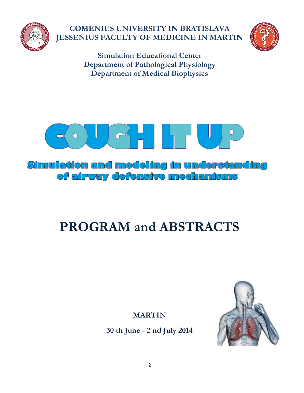

**COMENIUS UNIVERSITY IN BRATISLAVA JESSENIUS FACULTY OF MEDICINE IN MARTIN**



**Simulation Educational Center Department of Pathological Physiology Department of Medical Biophysics**



Simulation and modeling in understanding of airway defensive mechanisms

# **PROGRAM and ABSTRACTS**

**MARTIN**

**30 th June - 2 nd July 2014**

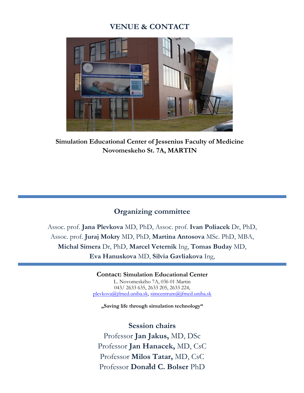## **VENUE & CONTACT**



**Simulation Educational Center of Jessenius Faculty of Medicine Novomeskeho St. 7A, MARTIN**

### **Organizing committee**

Assoc. prof. **Jana Plevkova** MD, PhD, Assoc. prof. **Ivan Poliacek** Dr, PhD, Assoc. prof. **Juraj Mokry** MD, PhD, **Martina Antosova** MSc. PhD, MBA, **Michal Simera** Dr, PhD, **Marcel Veternik** Ing, **Tomas Buday** MD, **Eva Hanuskova** MD, **Silvia Gavliakova** Ing,

> **Contact: Simulation Educational Center**  L. Novomeského 7A, 036 01 Martin 043/ 2633 635, 2633 205, 2633 224, [plevkova@jfmed.uniba.sk,](mailto:plevkova@jfmed.uniba.sk) [simcentrum@jfmed.uniba.sk](mailto:simcentrum@jfmed.uniba.sk)

**"Saving life through simulation technology"**

3 Professor **Donald C. Bolser** PhD**Session chairs**  Professor **Jan Jakus,** MD, DSc Professor **Jan Hanacek,** MD, CsC Professor **Milos Tatar,** MD, CsC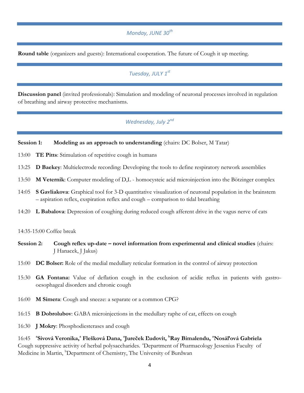#### *Monday, JUNE 30th*

**Round table** (organizers and guests): International cooperation. The future of Cough it up meeting.

#### *Tuesday, JULY 1st*

**Discussion panel** (invited professionals): Simulation and modeling of neuronal processes involved in regulation of breathing and airway protective mechanisms.

#### *Wednesday, July 2nd*

#### **Session 1: Modeling as an approach to understanding** (chairs: DC Bolser, M Tatar)

- 13:00 **TE Pitts**: Stimulation of repetitive cough in humans
- 13:25 **D Baekey**: Multielectrode recording: Developing the tools to define respiratory network assemblies
- 13:50 **M Veternik**: Computer modeling of D,L homocysteic acid microinjection into the Bötzinger complex
- 14:05 **S Gavliakova**: Graphical tool for 3-D quantitative visualization of neuronal population in the brainstem – aspiration reflex, exspiration reflex and cough – comparison to tidal breathing
- 14:20 **L Babalova**: Depression of coughing during reduced cough afferent drive in the vagus nerve of cats

14:35-15:00 Coffee break

- **Session 2:** Cough reflex up-date novel information from experimental and clinical studies (chairs: J Hanacek, J Jakus)
- 15:00 **DC Bolser:** Role of the medial medullary reticular formation in the control of airway protection
- 15:30 **GA Fontana:** Value of deflation cough in the exclusion of acidic reflux in patients with gastrooesophageal disorders and chronic cough
- 16:00 **M Simera**: Cough and sneeze: a separate or a common CPG?
- 16:15 **B Dobrolubov**: GABA microinjections in the medullary raphe of cat, effects on cough
- 16:30 **J Mokry**: Phosphodiesterases and cough

16:45 **<sup>a</sup> Sivová Veronika,<sup>a</sup> Flešková Dana, <sup>a</sup> Jureček Ľudovít, <sup>b</sup>Ray Bimalendu, <sup>a</sup>Nosáľová Gabriela** Cough suppressive activity of herbal polysaccharides. <sup>a</sup>Department of Pharmacology Jessenius Faculty of Medicine in Martin, <sup>b</sup>Department of Chemistry, The University of Burdwan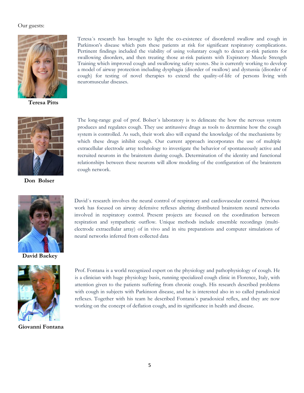#### Our guests:



**Teresa Pitts**

Teresa´s research has brought to light the co-existence of disordered swallow and cough in Parkinson's disease which puts these patients at risk for significant respiratory complications. Pertinent findings included the viability of using voluntary cough to detect at-risk patients for swallowing disorders, and then treating those at-risk patients with Expiratory Muscle Strength Training which improved cough and swallowing safety scores. She is currently working to develop a model of airway protection including dysphagia (disorder of swallow) and dystussia (disorder of cough) for testing of novel therapies to extend the quality-of-life of persons living with neuromuscular diseases.



**Don Bolser**

The long-range goal of prof. Bolser´s laboratory is to delineate the how the nervous system produces and regulates cough. They use antitussive drugs as tools to determine how the cough system is controlled. As such, their work also will expand the knowledge of the mechanisms by which these drugs inhibit cough. Our current approach incorporates the use of multiple extracellular electrode array technology to investigate the behavior of spontaneously active and recruited neurons in the brainstem during cough. Determination of the identity and functional relationships between these neurons will allow modeling of the configuration of the brainstem cough network.



**David Baekey** 



**Giovanni Fontana** 

David´s research involves the neural control of respiratory and cardiovascular control. Previous work has focused on airway defensive reflexes altering distributed brainstem neural networks involved in respiratory control. Present projects are focused on the coordination between respiration and sympathetic outflow. Unique methods include ensemble recordings (multielectrode extracellular array) of in vivo and in situ preparations and computer simulations of neural networks inferred from collected data

Prof. Fontana is a world recognized expert on the physiology and pathophysiology of cough. He is a clinician with huge physiology basis, running specialized cough clinic in Florence, Italy, with attention given to the patients suffering from chronic cough. His research described problems with cough in subjects with Parkinson disease, and he is interested also in so called paradoxical reflexes. Together with his team he described Fontana´s paradoxical reflex, and they are now working on the concept of deflation cough, and its significance in health and disease.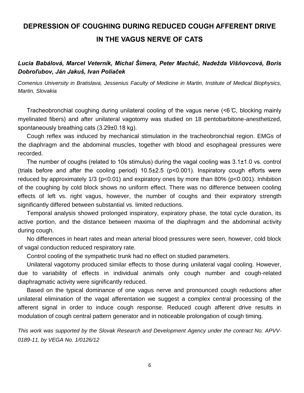# **DEPRESSION OF COUGHING DURING REDUCED COUGH AFFERENT DRIVE IN THE VAGUS NERVE OF CATS**

#### *Lucia Babálová, Marcel Veterník, Michal Šimera, Peter Macháč, Nadežda Višňovcová, Boris Dobroľubov, Ján Jakuš, Ivan Poliaček*

*Comenius University in Bratislava, Jessenius Faculty of Medicine in Martin, Institute of Medical Biophysics, Martin, Slovakia*

Tracheobronchial coughing during unilateral cooling of the vagus nerve (<6 ̊C, blocking mainly myelinated fibers) and after unilateral vagotomy was studied on 18 pentobarbitone-anesthetized, spontaneously breathing cats (3.29±0.18 kg).

Cough reflex was induced by mechanical stimulation in the tracheobronchial region. EMGs of the diaphragm and the abdominal muscles, together with blood and esophageal pressures were recorded.

The number of coughs (related to 10s stimulus) during the vagal cooling was 3.1±1.0 vs. control (trials before and after the cooling period) 10.5±2.5 (p<0.001). Inspiratory cough efforts were reduced by approximately 1/3 (p<0.01) and expiratory ones by more than 80% (p<0.001). Inhibition of the coughing by cold block shows no uniform effect. There was no difference between cooling effects of left vs. right vagus, however, the number of coughs and their expiratory strength significantly differed between substantial vs. limited reductions.

Temporal analysis showed prolonged inspiratory, expiratory phase, the total cycle duration, its active portion, and the distance between maxima of the diaphragm and the abdominal activity during cough.

No differences in heart rates and mean arterial blood pressures were seen, however, cold block of vagal conduction reduced respiratory rate.

Control cooling of the sympathetic trunk had no effect on studied parameters.

Unilateral vagotomy produced similar effects to those during unilateral vagal cooling. However, due to variability of effects in individual animals only cough number and cough-related diaphragmatic activity were significantly reduced.

Based on the typical dominance of one vagus nerve and pronounced cough reductions after unilateral elimination of the vagal afferentation we suggest a complex central processing of the afferent signal in order to induce cough response. Reduced cough afferent drive results in modulation of cough central pattern generator and in noticeable prolongation of cough timing.

*This work was supported by the Slovak Research and Development Agency under the contract No. APVV-0189-11, by VEGA No. 1/0126/12*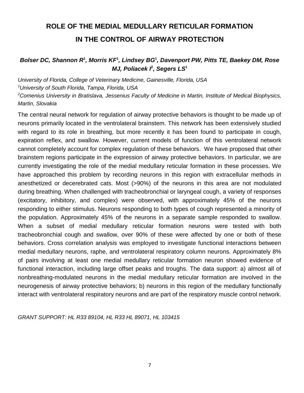# **ROLE OF THE MEDIAL MEDULLARY RETICULAR FORMATION IN THE CONTROL OF AIRWAY PROTECTION**

#### *Bolser DC, Shannon R***<sup>1</sup>** *, Morris KF***<sup>1</sup>** *, Lindsey BG***<sup>1</sup>** *, Davenport PW, Pitts TE, Baekey DM, Rose MJ, Poliacek*  $f$ , Segers  $LS<sup>1</sup>$

*University of Florida, College of Veterinary Medicine, Gainesville, Florida, USA <sup>1</sup>University of South Florida, Tampa, Florida, USA <sup>2</sup>Comenius University in Bratislava, Jessenius Faculty of Medicine in Martin, Institute of Medical Biophysics, Martin, Slovakia*

The central neural network for regulation of airway protective behaviors is thought to be made up of neurons primarily located in the ventrolateral brainstem. This network has been extensively studied with regard to its role in breathing, but more recently it has been found to participate in cough, expiration reflex, and swallow. However, current models of function of this ventrolateral network cannot completely account for complex regulation of these behaviors. We have proposed that other brainstem regions participate in the expression of airway protective behaviors. In particular, we are currently investigating the role of the medial medullary reticular formation in these processes. We have approached this problem by recording neurons in this region with extracellular methods in anesthetized or decerebrated cats. Most (>90%) of the neurons in this area are not modulated during breathing. When challenged with tracheobronchial or laryngeal cough, a variety of responses (excitatory, inhibitory, and complex) were observed, with approximately 45% of the neurons responding to either stimulus. Neurons responding to both types of cough represented a minority of the population. Approximately 45% of the neurons in a separate sample responded to swallow. When a subset of medial medullary reticular formation neurons were tested with both tracheobronchial cough and swallow, over 90% of these were affected by one or both of these behaviors. Cross correlation analysis was employed to investigate functional interactions between medial medullary neurons, raphe, and ventrolateral respiratory column neurons. Approximately 8% of pairs involving at least one medial medullary reticular formation neuron showed evidence of functional interaction, including large offset peaks and troughs. The data support: a) almost all of nonbreathing-modulated neurons in the medial medullary reticular formation are involved in the neurogenesis of airway protective behaviors; b) neurons in this region of the medullary functionally interact with ventrolateral respiratory neurons and are part of the respiratory muscle control network.

*GRANT SUPPORT: HL R33 89104, HL R33 HL 89071, HL 103415*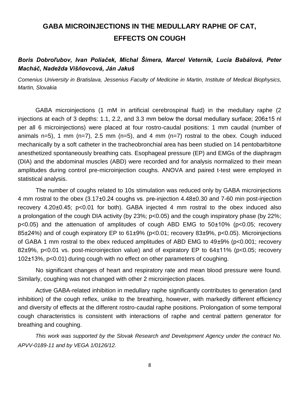# **GABA MICROINJECTIONS IN THE MEDULLARY RAPHE OF CAT, EFFECTS ON COUGH**

*Boris Dobroľubov, Ivan Poliaček, Michal Šimera, Marcel Veterník, Lucia Babálová, Peter Macháč, Nadežda Višňovcová, Ján Jakuš*

*Comenius University in Bratislava, Jessenius Faculty of Medicine in Martin, Institute of Medical Biophysics, Martin, Slovakia*

GABA microinjections (1 mM in artificial cerebrospinal fluid) in the medullary raphe (2 injections at each of 3 depths: 1.1, 2.2, and 3.3 mm below the dorsal medullary surface; 206±15 nl per all 6 microinjections) were placed at four rostro-caudal positions: 1 mm caudal (number of animals n=5), 1 mm  $(n=7)$ , 2.5 mm  $(n=5)$ , and 4 mm  $(n=7)$  rostral to the obex. Cough induced mechanically by a soft catheter in the tracheobronchial area has been studied on 14 pentobarbitone anesthetized spontaneously breathing cats. Esophageal pressure (EP) and EMGs of the diaphragm (DIA) and the abdominal muscles (ABD) were recorded and for analysis normalized to their mean amplitudes during control pre-microinjection coughs. ANOVA and paired t-test were employed in statistical analysis.

The number of coughs related to 10s stimulation was reduced only by GABA microinjections 4 mm rostral to the obex (3.17±0.24 coughs vs. pre-injection 4.48±0.30 and 7-60 min post-injection recovery 4.20±0.45; p<0.01 for both). GABA injected 4 mm rostral to the obex induced also a prolongation of the cough DIA activity (by 23%; p<0.05) and the cough inspiratory phase (by 22%; p<0.05) and the attenuation of amplitudes of cough ABD EMG to 50±10% (p<0.05; recovery 85±24%) and of cough expiratory EP to 61±9% (p<0.01; recovery 83±9%, p<0.05). Microinjections of GABA 1 mm rostral to the obex reduced amplitudes of ABD EMG to 49±9% (p<0.001; recovery 82±9%, p<0.01 vs. post-microinjection value) and of expiratory EP to 64±11% (p<0.05; recovery 102±13%, p<0.01) during cough with no effect on other parameters of coughing.

No significant changes of heart and respiratory rate and mean blood pressure were found. Similarly, coughing was not changed with other 2 microinjection places.

Active GABA-related inhibition in medullary raphe significantly contributes to generation (and inhibition) of the cough reflex, unlike to the breathing, however, with markedly different efficiency and diversity of effects at the different rostro-caudal raphe positions. Prolongation of some temporal cough characteristics is consistent with interactions of raphe and central pattern generator for breathing and coughing.

*This work was supported by the Slovak Research and Development Agency under the contract No. APVV-0189-11 and by VEGA 1/0126/12.*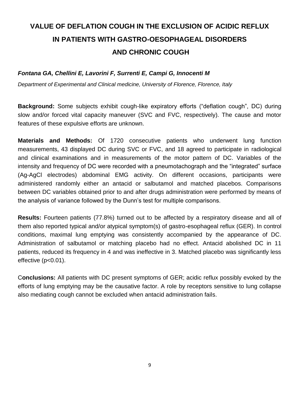# **VALUE OF DEFLATION COUGH IN THE EXCLUSION OF ACIDIC REFLUX IN PATIENTS WITH GASTRO-OESOPHAGEAL DISORDERS AND CHRONIC COUGH**

#### *Fontana GA, Chellini E, Lavorini F, Surrenti E, Campi G, Innocenti M*

*Department of Experimental and Clinical medicine, University of Florence, Florence, Italy*

**Background:** Some subjects exhibit cough-like expiratory efforts ("deflation cough", DC) during slow and/or forced vital capacity maneuver (SVC and FVC, respectively). The cause and motor features of these expulsive efforts are unknown.

**Materials and Methods:** Of 1720 consecutive patients who underwent lung function measurements, 43 displayed DC during SVC or FVC, and 18 agreed to participate in radiological and clinical examinations and in measurements of the motor pattern of DC. Variables of the intensity and frequency of DC were recorded with a pneumotachograph and the "integrated" surface (Ag-AgCl electrodes) abdominal EMG activity. On different occasions, participants were administered randomly either an antacid or salbutamol and matched placebos. Comparisons between DC variables obtained prior to and after drugs administration were performed by means of the analysis of variance followed by the Dunn's test for multiple comparisons.

**Results:** Fourteen patients (77.8%) turned out to be affected by a respiratory disease and all of them also reported typical and/or atypical symptom(s) of gastro-esophageal reflux (GER). In control conditions, maximal lung emptying was consistently accompanied by the appearance of DC. Administration of salbutamol or matching placebo had no effect. Antacid abolished DC in 11 patients, reduced its frequency in 4 and was ineffective in 3. Matched placebo was significantly less effective (p<0.01).

C**onclusions:** All patients with DC present symptoms of GER; acidic reflux possibly evoked by the efforts of lung emptying may be the causative factor. A role by receptors sensitive to lung collapse also mediating cough cannot be excluded when antacid administration fails.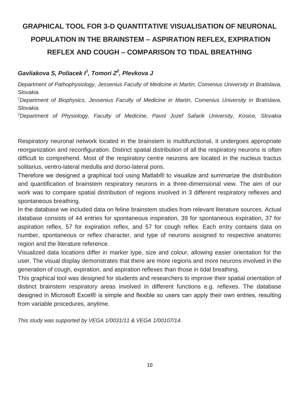# **GRAPHICAL TOOL FOR 3-D QUANTITATIVE VISUALISATION OF NEURONAL POPULATION IN THE BRAINSTEM – ASPIRATION REFLEX, EXPIRATION REFLEX AND COUGH – COMPARISON TO TIDAL BREATHING**

#### *Gavliakova S, Poliacek I<sup>1</sup> , Tomori Z<sup>2</sup> , Plevkova J*

*Department of Pathophysiology, Jessenius Faculty of Medicine in Martin, Comenius University in Bratislava, Slovakia*

*<sup>1</sup>Department of Biophysics, Jessenius Faculty of Medicine in Martin, Comenius University in Bratislava, Slovakia*

*<sup>2</sup>Department of Physiology, Faculty of Medicine, Pavol Jozef Safarik University, Kosice, Slovakia*

Respiratory neuronal network located in the brainstem is multifunctional, it undergoes appropriate reorganization and reconfiguration. Distinct spatial distribution of all the respiratory neurons is often difficult to comprehend. Most of the respiratory centre neurons are located in the nucleus tractus solitarius, ventro-lateral medulla and dorso-lateral pons.

Therefore we designed a graphical tool using Matlab® to visualize and summarize the distribution and quantification of brainstem respiratory neurons in a three-dimensional view. The aim of our work was to compare spatial distribution of regions involved in 3 different respiratory reflexes and spontaneous breathing.

In the database we included data on feline brainstem studies from relevant literature sources. Actual database consists of 44 entries for spontaneous inspiration, 39 for spontaneous expiration, 37 for aspiration reflex, 57 for expiration reflex, and 57 for cough reflex. Each entry contains data on number, spontaneous or reflex character, and type of neurons assigned to respective anatomic region and the literature reference.

Visualized data locations differ in marker type, size and colour, allowing easier orientation for the user. The visual display demonstrates that there are more regions and more neurons involved in the generation of cough, expiration, and aspiration reflexes than those in tidal breathing.

This graphical tool was designed for students and researchers to improve their spatial orientation of distinct brainstem respiratory areas involved in different functions e.g. reflexes. The database designed in Microsoft Excel® is simple and flexible so users can apply their own entries, resulting from variable procedures, anytime.

*This study was supported by VEGA 1/0031/11 & VEGA 1/00107/14.*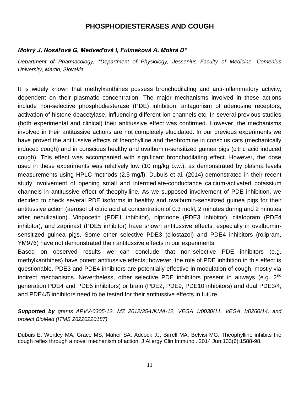### **PHOSPHODIESTERASES AND COUGH**

#### *Mokrý J, Nosáľová G, Medveďová I, Fulmeková A, Mokrá D\**

*Department of Pharmacology, \*Department of Physiology, Jessenius Faculty of Medicine, Comenius University, Martin, Slovakia*

It is widely known that methylxanthines possess bronchodilating and anti-inflammatory activity, dependent on their plasmatic concentration. The major mechanisms involved in these actions include non-selective phosphodiesterase (PDE) inhibition, antagonism of adenosine receptors, activation of histone-deacetylase, influencing different ion channels etc. In several previous studies (both experimental and clinical) their antitussive effect was confirmed. However, the mechanisms involved in their antitussive actions are not completely elucidated. In our previous experiments we have proved the antitussive effects of theophylline and theobromine in conscius cats (mechanically induced cough) and in conscious healthy and ovalbumin-sensitized guinea pigs (citric acid induced cough). This effect was accompanied with significant bronchodilating effect. However, the dose used in these experiments was relatively low (10 mg/kg b.w.), as demonstrated by plasma levels measurements using HPLC methods (2.5 mg/l). Dubuis et al. (2014) demonstrated in their recent study involvement of opening small and intermediate-conductance calcium-activated potassium channels in antitussive effect of theophylline. As we supposed involvement of PDE inhibition, we decided to check several PDE isoforms in healthy and ovalbumin-sensitized guinea pigs for their antitussive action (aerosol of citric acid at concentration of 0.3 mol/l, 2 minutes during and 2 minutes after nebulization). Vinpocetin (PDE1 inhibitor), olprinone (PDE3 inhibitor), citalopram (PDE4 inhibitor), and zaprinast (PDE5 inhibitor) have shown antitussive effects, especially in ovalbuminsensitized guinea pigs. Some other selective PDE3 (cilostazol) and PDE4 inhibitors (rolipram, YM976) have not demonstrated their antitussive effects in our experiments.

Based on observed results we can conclude that non-selective PDE inhibitors (e.g. methylxanthines) have potent antitussive effects; however, the role of PDE inhibition in this effect is questionable. PDE3 and PDE4 inhibitors are potentially effective in modulation of cough, mostly via indirect mechanisms. Nevertheless, other selective PDE inhibitors present in airways (e.g.  $2^{nd}$ ) generation PDE4 and PDE5 inhibitors) or brain (PDE2, PDE9, PDE10 inhibitors) and dual PDE3/4, and PDE4/5 inhibitors need to be tested for their antitussive effects in future.

*Supported by grants APVV-0305-12, MZ 2012/35-UKMA-12, VEGA 1/0030/11, VEGA 1/0260/14, and project BioMed (ITMS 26220220187)*

Dubuis E, Wortley MA, Grace MS, Maher SA, Adcock JJ, Birrell MA, Belvisi MG. Theophylline inhibits the cough reflex through a novel mechanism of action. J Allergy Clin Immunol. 2014 Jun;133(6):1588-98.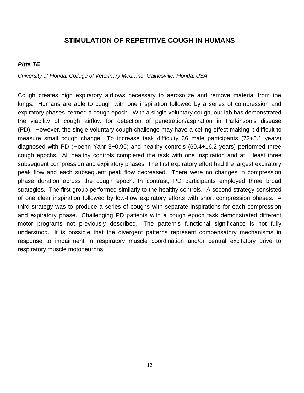### **STIMULATION OF REPETITIVE COUGH IN HUMANS**

#### *Pitts TE*

*University of Florida, College of Veterinary Medicine, Gainesville, Florida, USA*

Cough creates high expiratory airflows necessary to aerosolize and remove material from the lungs. Humans are able to cough with one inspiration followed by a series of compression and expiratory phases, termed a cough epoch. With a single voluntary cough, our lab has demonstrated the viability of cough airflow for detection of penetration/aspiration in Parkinson's disease (PD). However, the single voluntary cough challenge may have a ceiling effect making it difficult to measure small cough change. To increase task difficulty 36 male participants (72+5.1 years) diagnosed with PD (Hoehn Yahr 3+0.96) and healthy controls (60.4+16.2 years) performed three cough epochs. All healthy controls completed the task with one inspiration and at least three subsequent compression and expiratory phases. The first expiratory effort had the largest expiratory peak flow and each subsequent peak flow decreased. There were no changes in compression phase duration across the cough epoch. In contrast, PD participants employed three broad strategies. The first group performed similarly to the healthy controls. A second strategy consisted of one clear inspiration followed by low-flow expiratory efforts with short compression phases. A third strategy was to produce a series of coughs with separate inspirations for each compression and expiratory phase. Challenging PD patients with a cough epoch task demonstrated different motor programs not previously described. The pattern's functional significance is not fully understood. It is possible that the divergent patterns represent compensatory mechanisms in response to impairment in respiratory muscle coordination and/or central excitatory drive to respiratory muscle motoneurons.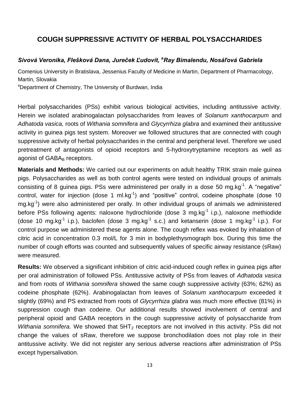### **COUGH SUPPRESSIVE ACTIVITY OF HERBAL POLYSACCHARIDES**

#### *Sivová Veronika, Flešková Dana, Jureček Ľudovít, <sup>a</sup>Ray Bimalendu, Nosáľová Gabriela*

Comenius University in Bratislava, Jessenius Faculty of Medicine in Martin, Department of Pharmacology, Martin, Slovakia

aDepartment of Chemistry, The University of Burdwan, India

Herbal polysaccharides (PSs) exhibit various biological activities, including antitussive activity. Herein we isolated arabinogalactan polysaccharides from leaves of *Solanum xanthocarpum* and *Adhatoda vasica,* roots of *Withania somnifera* and *Glycyrrhiza glabra* and examined their antitussive activity in guinea pigs test system. Moreover we followed structures that are connected with cough suppressive activity of herbal polysaccharides in the central and peripheral level. Therefore we used pretreatment of antagonists of opioid receptors and 5-hydroxytryptamine receptors as well as agonist of GABA<sub>B</sub> receptors.

**Materials and Methods:** We carried out our experiments on adult healthy TRIK strain male guinea pigs. Polysaccharides as well as both control agents were tested on individual groups of animals consisting of 8 guinea pigs. PSs were administered per orally in a dose 50 mg.kg<sup>-1</sup>. A "negative" control, water for injection (dose 1 ml.kg $^{-1}$ ) and "positive" control, codeine phosphate (dose 10 mg.kg<sup>-1</sup>) were also administered per orally. In other individual groups of animals we administered before PSs following agents: naloxone hydrochloride (dose 3 mg.kg<sup>-1</sup> i.p.), naloxone methiodide (dose 10 mg.kg<sup>-1</sup> i.p.), baclofen (dose 3 mg.kg<sup>-1</sup> s.c.) and ketanserin (dose 1 mg.kg<sup>-1</sup> i.p.). For control purpose we administered these agents alone. The cough reflex was evoked by inhalation of citric acid in concentration 0.3 mol/L for 3 min in bodyplethysmograph box. During this time the number of cough efforts was counted and subsequently values of specific airway resistance (sRaw) were measured.

**Results:** We observed a significant inhibition of citric acid-induced cough reflex in guinea pigs after per oral administration of followed PSs. Antitussive activity of PSs from leaves of *Adhatoda vasica*  and from roots of *Withania somnifera* showed the same cough suppressive activity (63%; 62%) as codeine phosphate (62%). Arabinogalactan from leaves of *Solanum xanthocarpum* exceeded it slightly (69%) and PS extracted from roots of *Glycyrrhiza glabra* was much more effective (81%) in suppression cough than codeine. Our additional results showed involvement of central and peripheral opioid and GABA receptors in the cough suppressive activity of polysaccharide from *Withania somnifera.* We showed that 5HT<sub>2</sub> receptors are not involved in this activity. PSs did not change the values of sRaw, therefore we suppose bronchodilation does not play role in their antitussive activity. We did not register any serious adverse reactions after administration of PSs except hypersalivation.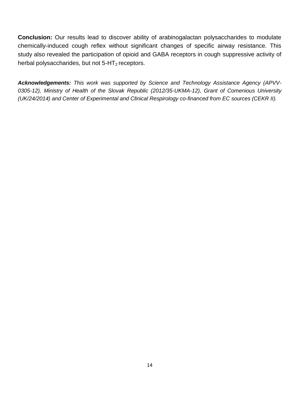**Conclusion:** Our results lead to discover ability of arabinogalactan polysaccharides to modulate chemically-induced cough reflex without significant changes of specific airway resistance. This study also revealed the participation of opioid and GABA receptors in cough suppressive activity of herbal polysaccharides, but not  $5-HT_2$  receptors.

*Acknowledgements: This work was supported by Science and Technology Assistance Agency (APVV-0305-12), Ministry of Health of the Slovak Republic (2012/35-UKMA-12), Grant of Comenious University (UK/24/2014) and Center of Experimental and Clinical Respirology co-financed from EC sources (CEKR II).*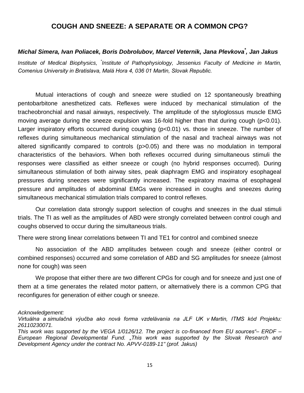#### **COUGH AND SNEEZE: A SEPARATE OR A COMMON CPG?**

#### *Michal Simera, Ivan Poliacek, Boris Dobrolubov, Marcel Veternik, Jana Plevkova\* , Jan Jakus*

Institute of Medical Biophysics, <sup>\*</sup>Institute of Pathophysiology, Jessenius Faculty of Medicine in Martin, *Comenius University in Bratislava, Malá Hora 4, 036 01 Martin, Slovak Republic.*

Mutual interactions of cough and sneeze were studied on 12 spontaneously breathing pentobarbitone anesthetized cats. Reflexes were induced by mechanical stimulation of the tracheobronchial and nasal airways, respectively. The amplitude of the styloglossus muscle EMG moving average during the sneeze expulsion was 16-fold higher than that during cough (p<0.01). Larger inspiratory efforts occurred during coughing (p<0.01) vs. those in sneeze. The number of reflexes during simultaneous mechanical stimulation of the nasal and tracheal airways was not altered significantly compared to controls (p>0.05) and there was no modulation in temporal characteristics of the behaviors. When both reflexes occurred during simultaneous stimuli the responses were classified as either sneeze or cough (no hybrid responses occurred). During simultaneous stimulation of both airway sites, peak diaphragm EMG and inspiratory esophageal pressures during sneezes were significantly increased. The expiratory maxima of esophageal pressure and amplitudes of abdominal EMGs were increased in coughs and sneezes during simultaneous mechanical stimulation trials compared to control reflexes.

Our correlation data strongly support selection of coughs and sneezes in the dual stimuli trials. The TI as well as the amplitudes of ABD were strongly correlated between control cough and coughs observed to occur during the simultaneous trials.

There were strong linear correlations between TI and TE1 for control and combined sneeze

No association of the ABD amplitudes between cough and sneeze (either control or combined responses) occurred and some correlation of ABD and SG amplitudes for sneeze (almost none for cough) was seen

We propose that either there are two different CPGs for cough and for sneeze and just one of them at a time generates the related motor pattern, or alternatively there is a common CPG that reconfigures for generation of either cough or sneeze.

#### *Acknowledgement:*

*Virtuálna a simulačná výučba ako nová forma vzdelávania na JLF UK v Martin, ITMS kód Projektu: 26110230071.*

*This work was supported by the VEGA 1/0126/12. The project is co-financed from EU sources"– ERDF – European Regional Developmental Fund. "This work was supported by the Slovak Research and Development Agency under the contract No. APVV-0189-11" (prof. Jakus)*